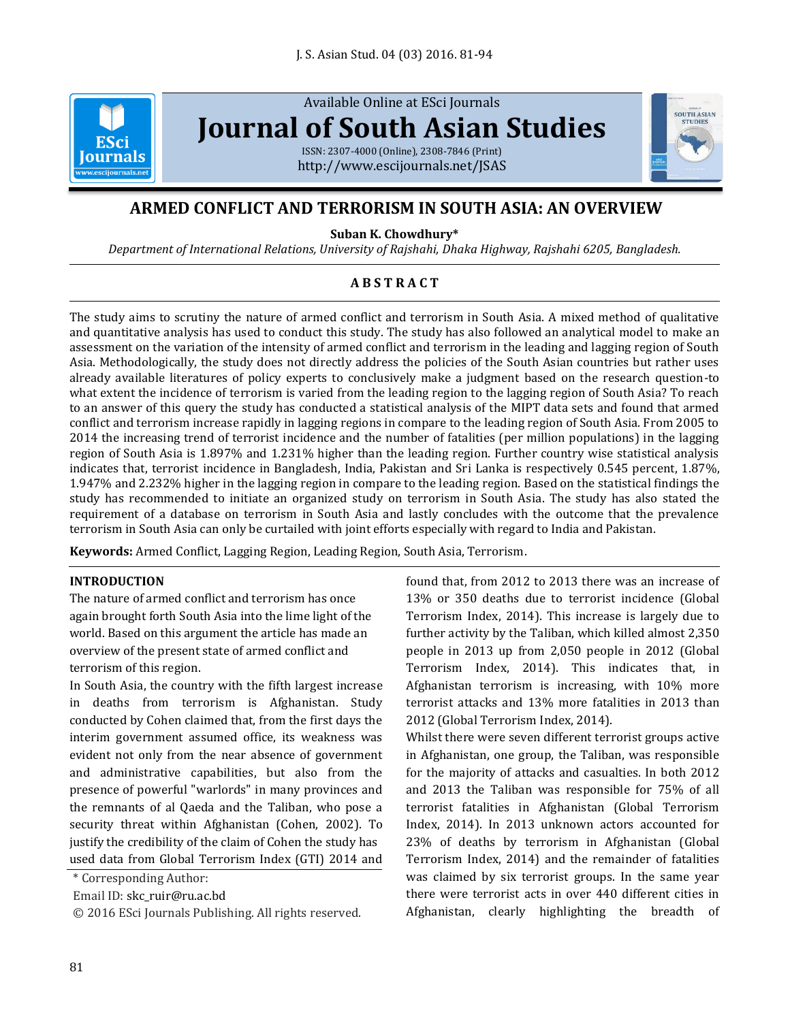

Available Online at ESci Journals **[Journal of South Asian Studies](http://www.escijournals.net/JSAS)**

ISSN: 2307-4000 (Online), 2308-7846 (Print) <http://www.escijournals.net/JSAS>



# **ARMED CONFLICT AND TERRORISM IN SOUTH ASIA: AN OVERVIEW**

**Suban K. Chowdhury\***

*Department of International Relations, University of Rajshahi, Dhaka Highway, Rajshahi 6205, Bangladesh.*

# **A B S T R A C T**

The study aims to scrutiny the nature of armed conflict and terrorism in South Asia. A mixed method of qualitative and quantitative analysis has used to conduct this study. The study has also followed an analytical model to make an assessment on the variation of the intensity of armed conflict and terrorism in the leading and lagging region of South Asia. Methodologically, the study does not directly address the policies of the South Asian countries but rather uses already available literatures of policy experts to conclusively make a judgment based on the research question-to what extent the incidence of terrorism is varied from the leading region to the lagging region of South Asia? To reach to an answer of this query the study has conducted a statistical analysis of the MIPT data sets and found that armed conflict and terrorism increase rapidly in lagging regions in compare to the leading region of South Asia. From 2005 to 2014 the increasing trend of terrorist incidence and the number of fatalities (per million populations) in the lagging region of South Asia is 1.897% and 1.231% higher than the leading region. Further country wise statistical analysis indicates that, terrorist incidence in Bangladesh, India, Pakistan and Sri Lanka is respectively 0.545 percent, 1.87%, 1.947% and 2.232% higher in the lagging region in compare to the leading region. Based on the statistical findings the study has recommended to initiate an organized study on terrorism in South Asia. The study has also stated the requirement of a database on terrorism in South Asia and lastly concludes with the outcome that the prevalence terrorism in South Asia can only be curtailed with joint efforts especially with regard to India and Pakistan.

**Keywords:** Armed Conflict, Lagging Region, Leading Region, South Asia, Terrorism.

# **INTRODUCTION**

The nature of armed conflict and terrorism has once again brought forth South Asia into the lime light of the world. Based on this argument the article has made an overview of the present state of armed conflict and terrorism of this region.

In South Asia, the country with the fifth largest increase in deaths from terrorism is Afghanistan. Study conducted by Cohen claimed that, from the first days the interim government assumed office, its weakness was evident not only from the near absence of government and administrative capabilities, but also from the presence of powerful "warlords" in many provinces and the remnants of al Qaeda and the Taliban, who pose a security threat within Afghanistan (Cohen, 2002). To justify the credibility of the claim of Cohen the study has used data from Global Terrorism Index (GTI) 2014 and

\* Corresponding Author:

Email ID: skc\_ruir@ru.ac.bd

© 2016 ESci Journals Publishing. All rights reserved.

found that, from 2012 to 2013 there was an increase of 13% or 350 deaths due to terrorist incidence (Global Terrorism Index, 2014). This increase is largely due to further activity by the Taliban, which killed almost 2,350 people in 2013 up from 2,050 people in 2012 (Global Terrorism Index, 2014). This indicates that, in Afghanistan terrorism is increasing, with 10% more terrorist attacks and 13% more fatalities in 2013 than 2012 (Global Terrorism Index, 2014).

Whilst there were seven different terrorist groups active in Afghanistan, one group, the Taliban, was responsible for the majority of attacks and casualties. In both 2012 and 2013 the Taliban was responsible for 75% of all terrorist fatalities in Afghanistan (Global Terrorism Index, 2014). In 2013 unknown actors accounted for 23% of deaths by terrorism in Afghanistan (Global Terrorism Index, 2014) and the remainder of fatalities was claimed by six terrorist groups. In the same year there were terrorist acts in over 440 different cities in Afghanistan, clearly highlighting the breadth of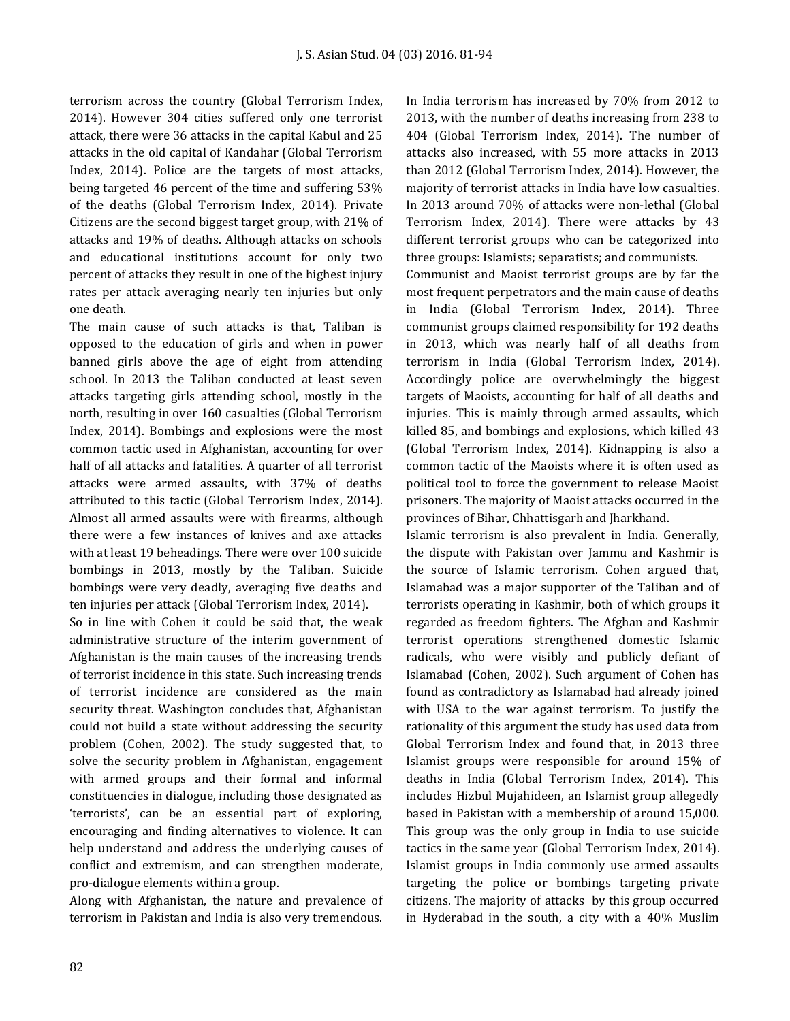terrorism across the country (Global Terrorism Index, 2014). However 304 cities suffered only one terrorist attack, there were 36 attacks in the capital Kabul and 25 attacks in the old capital of Kandahar (Global Terrorism Index, 2014). Police are the targets of most attacks, being targeted 46 percent of the time and suffering 53% of the deaths (Global Terrorism Index, 2014). Private Citizens are the second biggest target group, with 21% of attacks and 19% of deaths. Although attacks on schools and educational institutions account for only two percent of attacks they result in one of the highest injury rates per attack averaging nearly ten injuries but only one death.

The main cause of such attacks is that, Taliban is opposed to the education of girls and when in power banned girls above the age of eight from attending school. In 2013 the Taliban conducted at least seven attacks targeting girls attending school, mostly in the north, resulting in over 160 casualties (Global Terrorism Index, 2014). Bombings and explosions were the most common tactic used in Afghanistan, accounting for over half of all attacks and fatalities. A quarter of all terrorist attacks were armed assaults, with 37% of deaths attributed to this tactic (Global Terrorism Index, 2014). Almost all armed assaults were with firearms, although there were a few instances of knives and axe attacks with at least 19 beheadings. There were over 100 suicide bombings in 2013, mostly by the Taliban. Suicide bombings were very deadly, averaging five deaths and ten injuries per attack (Global Terrorism Index, 2014).

So in line with Cohen it could be said that, the weak administrative structure of the interim government of Afghanistan is the main causes of the increasing trends of terrorist incidence in this state. Such increasing trends of terrorist incidence are considered as the main security threat. Washington concludes that, Afghanistan could not build a state without addressing the security problem (Cohen, 2002). The study suggested that, to solve the security problem in Afghanistan, engagement with armed groups and their formal and informal constituencies in dialogue, including those designated as 'terrorists', can be an essential part of exploring, encouraging and finding alternatives to violence. It can help understand and address the underlying causes of conflict and extremism, and can strengthen moderate, pro-dialogue elements within a group.

Along with Afghanistan, the nature and prevalence of terrorism in Pakistan and India is also very tremendous.

In India terrorism has increased by 70% from 2012 to 2013, with the number of deaths increasing from 238 to 404 (Global Terrorism Index, 2014). The number of attacks also increased, with 55 more attacks in 2013 than 2012 (Global Terrorism Index, 2014). However, the majority of terrorist attacks in India have low casualties. In 2013 around 70% of attacks were non-lethal (Global Terrorism Index, 2014). There were attacks by 43 different terrorist groups who can be categorized into three groups: Islamists; separatists; and communists.

Communist and Maoist terrorist groups are by far the most frequent perpetrators and the main cause of deaths in India (Global Terrorism Index, 2014). Three communist groups claimed responsibility for 192 deaths in 2013, which was nearly half of all deaths from terrorism in India (Global Terrorism Index, 2014). Accordingly police are overwhelmingly the biggest targets of Maoists, accounting for half of all deaths and injuries. This is mainly through armed assaults, which killed 85, and bombings and explosions, which killed 43 (Global Terrorism Index, 2014). Kidnapping is also a common tactic of the Maoists where it is often used as political tool to force the government to release Maoist prisoners. The majority of Maoist attacks occurred in the provinces of Bihar, Chhattisgarh and Jharkhand.

Islamic terrorism is also prevalent in India. Generally, the dispute with Pakistan over Jammu and Kashmir is the source of Islamic terrorism. Cohen argued that, Islamabad was a major supporter of the Taliban and of terrorists operating in Kashmir, both of which groups it regarded as freedom fighters. The Afghan and Kashmir terrorist operations strengthened domestic Islamic radicals, who were visibly and publicly defiant of Islamabad (Cohen, 2002). Such argument of Cohen has found as contradictory as Islamabad had already joined with USA to the war against terrorism. To justify the rationality of this argument the study has used data from Global Terrorism Index and found that, in 2013 three Islamist groups were responsible for around 15% of deaths in India (Global Terrorism Index, 2014). This includes Hizbul Mujahideen, an Islamist group allegedly based in Pakistan with a membership of around 15,000. This group was the only group in India to use suicide tactics in the same year (Global Terrorism Index, 2014). Islamist groups in India commonly use armed assaults targeting the police or bombings targeting private citizens. The majority of attacks by this group occurred in Hyderabad in the south, a city with a 40% Muslim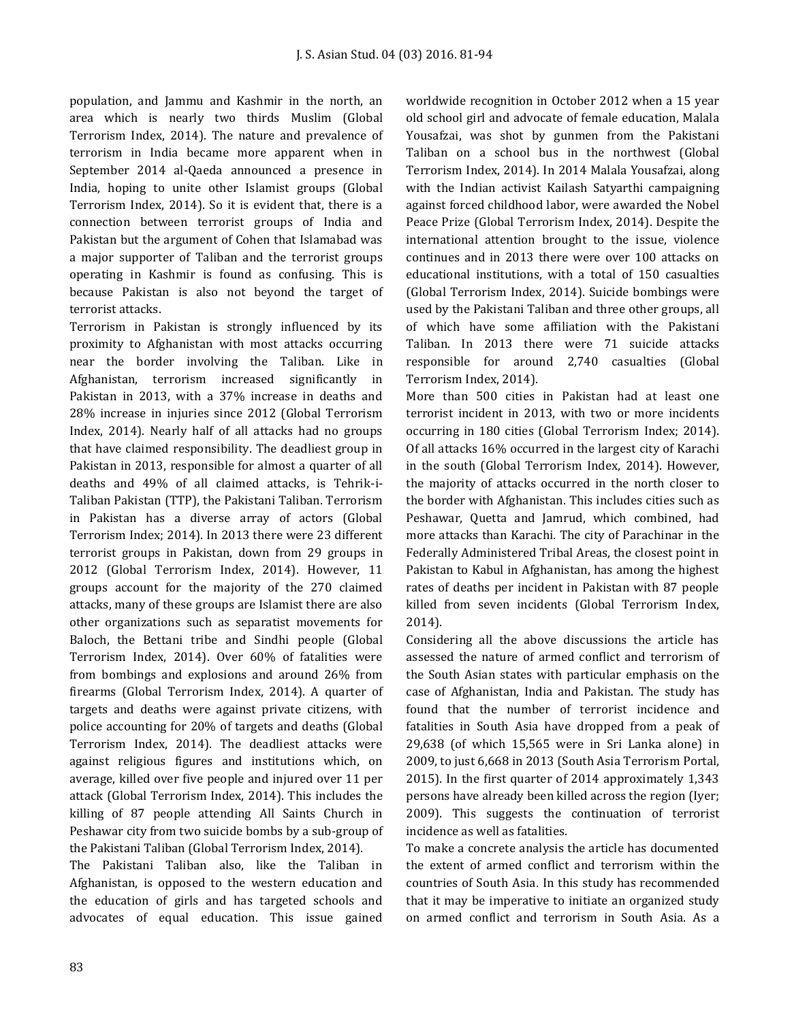population, and Jammu and Kashmir in the north, an area which is nearly two thirds Muslim (Global Terrorism Index, 2014). The nature and prevalence of terrorism in India became more apparent when in September 2014 al-Qaeda announced a presence in India, hoping to unite other Islamist groups (Global Terrorism Index, 2014). So it is evident that, there is a connection between terrorist groups of India and Pakistan but the argument of Cohen that Islamabad was a major supporter of Taliban and the terrorist groups operating in Kashmir is found as confusing. This is because Pakistan is also not beyond the target of terrorist attacks.

Terrorism in Pakistan is strongly influenced by its proximity to Afghanistan with most attacks occurring near the border involving the Taliban. Like in Afghanistan, terrorism increased significantly in Pakistan in 2013, with a 37% increase in deaths and 28% increase in injuries since 2012 (Global Terrorism Index, 2014). Nearly half of all attacks had no groups that have claimed responsibility. The deadliest group in Pakistan in 2013, responsible for almost a quarter of all deaths and 49% of all claimed attacks, is Tehrik-i-Taliban Pakistan (TTP), the Pakistani Taliban. Terrorism in Pakistan has a diverse array of actors (Global Terrorism Index; 2014). In 2013 there were 23 different terrorist groups in Pakistan, down from 29 groups in 2012 (Global Terrorism Index, 2014). However, 11 groups account for the majority of the 270 claimed attacks, many of these groups are Islamist there are also other organizations such as separatist movements for Baloch, the Bettani tribe and Sindhi people (Global Terrorism Index, 2014). Over 60% of fatalities were from bombings and explosions and around 26% from firearms (Global Terrorism Index, 2014). A quarter of targets and deaths were against private citizens, with police accounting for 20% of targets and deaths (Global Terrorism Index, 2014). The deadliest attacks were against religious figures and institutions which, on average, killed over five people and injured over 11 per attack (Global Terrorism Index, 2014). This includes the killing of 87 people attending All Saints Church in Peshawar city from two suicide bombs by a sub-group of the Pakistani Taliban (Global Terrorism Index, 2014).

The Pakistani Taliban also, like the Taliban in Afghanistan, is opposed to the western education and the education of girls and has targeted schools and advocates of equal education. This issue gained worldwide recognition in October 2012 when a 15 year old school girl and advocate of female education, Malala Yousafzai, was shot by gunmen from the Pakistani Taliban on a school bus in the northwest (Global Terrorism Index, 2014). In 2014 Malala Yousafzai, along with the Indian activist Kailash Satyarthi campaigning against forced childhood labor, were awarded the Nobel Peace Prize (Global Terrorism Index, 2014). Despite the international attention brought to the issue, violence continues and in 2013 there were over 100 attacks on educational institutions, with a total of 150 casualties (Global Terrorism Index, 2014). Suicide bombings were used by the Pakistani Taliban and three other groups, all of which have some affiliation with the Pakistani Taliban. In 2013 there were 71 suicide attacks responsible for around 2,740 casualties (Global Terrorism Index, 2014).

More than 500 cities in Pakistan had at least one terrorist incident in 2013, with two or more incidents occurring in 180 cities (Global Terrorism Index; 2014). Of all attacks 16% occurred in the largest city of Karachi in the south (Global Terrorism Index, 2014). However, the majority of attacks occurred in the north closer to the border with Afghanistan. This includes cities such as Peshawar, Quetta and Jamrud, which combined, had more attacks than Karachi. The city of Parachinar in the Federally Administered Tribal Areas, the closest point in Pakistan to Kabul in Afghanistan, has among the highest rates of deaths per incident in Pakistan with 87 people killed from seven incidents (Global Terrorism Index, 2014).

Considering all the above discussions the article has assessed the nature of armed conflict and terrorism of the South Asian states with particular emphasis on the case of Afghanistan, India and Pakistan. The study has found that the number of terrorist incidence and fatalities in South Asia have dropped from a peak of 29,638 (of which 15,565 were in Sri Lanka alone) in 2009, to just 6,668 in 2013 (South Asia Terrorism Portal, 2015). In the first quarter of 2014 approximately 1,343 persons have already been killed across the region (Iyer; 2009). This suggests the continuation of terrorist incidence as well as fatalities.

To make a concrete analysis the article has documented the extent of armed conflict and terrorism within the countries of South Asia. In this study has recommended that it may be imperative to initiate an organized study on armed conflict and terrorism in South Asia. As a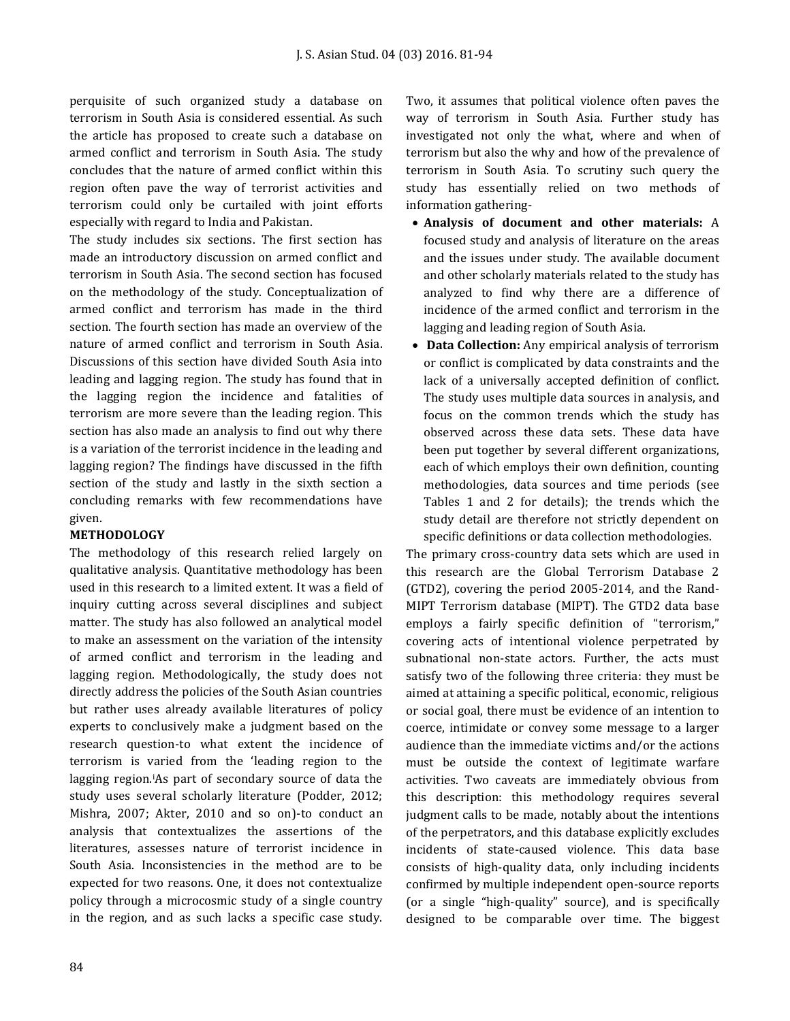perquisite of such organized study a database on terrorism in South Asia is considered essential. As such the article has proposed to create such a database on armed conflict and terrorism in South Asia. The study concludes that the nature of armed conflict within this region often pave the way of terrorist activities and terrorism could only be curtailed with joint efforts especially with regard to India and Pakistan.

The study includes six sections. The first section has made an introductory discussion on armed conflict and terrorism in South Asia. The second section has focused on the methodology of the study. Conceptualization of armed conflict and terrorism has made in the third section. The fourth section has made an overview of the nature of armed conflict and terrorism in South Asia. Discussions of this section have divided South Asia into leading and lagging region. The study has found that in the lagging region the incidence and fatalities of terrorism are more severe than the leading region. This section has also made an analysis to find out why there is a variation of the terrorist incidence in the leading and lagging region? The findings have discussed in the fifth section of the study and lastly in the sixth section a concluding remarks with few recommendations have given.

# **METHODOLOGY**

The methodology of this research relied largely on qualitative analysis. Quantitative methodology has been used in this research to a limited extent. It was a field of inquiry cutting across several disciplines and subject matter. The study has also followed an analytical model to make an assessment on the variation of the intensity of armed conflict and terrorism in the leading and lagging region. Methodologically, the study does not directly address the policies of the South Asian countries but rather uses already available literatures of policy experts to conclusively make a judgment based on the research question-to what extent the incidence of terrorism is varied from the 'leading region to the lagging region.iAs part of secondary source of data the study uses several scholarly literature (Podder, 2012; Mishra, 2007; Akter, 2010 and so on)-to conduct an analysis that contextualizes the assertions of the literatures, assesses nature of terrorist incidence in South Asia. Inconsistencies in the method are to be expected for two reasons. One, it does not contextualize policy through a microcosmic study of a single country in the region, and as such lacks a specific case study.

Two, it assumes that political violence often paves the way of terrorism in South Asia. Further study has investigated not only the what, where and when of terrorism but also the why and how of the prevalence of terrorism in South Asia. To scrutiny such query the study has essentially relied on two methods of information gathering-

- **Analysis of document and other materials:** A focused study and analysis of literature on the areas and the issues under study. The available document and other scholarly materials related to the study has analyzed to find why there are a difference of incidence of the armed conflict and terrorism in the lagging and leading region of South Asia.
- **Data Collection:** Any empirical analysis of terrorism or conflict is complicated by data constraints and the lack of a universally accepted definition of conflict. The study uses multiple data sources in analysis, and focus on the common trends which the study has observed across these data sets. These data have been put together by several different organizations, each of which employs their own definition, counting methodologies, data sources and time periods (see Tables 1 and 2 for details); the trends which the study detail are therefore not strictly dependent on specific definitions or data collection methodologies.

The primary cross-country data sets which are used in this research are the Global Terrorism Database 2 (GTD2), covering the period 2005-2014, and the Rand-MIPT Terrorism database (MIPT). The GTD2 data base employs a fairly specific definition of "terrorism," covering acts of intentional violence perpetrated by subnational non-state actors. Further, the acts must satisfy two of the following three criteria: they must be aimed at attaining a specific political, economic, religious or social goal, there must be evidence of an intention to coerce, intimidate or convey some message to a larger audience than the immediate victims and/or the actions must be outside the context of legitimate warfare activities. Two caveats are immediately obvious from this description: this methodology requires several judgment calls to be made, notably about the intentions of the perpetrators, and this database explicitly excludes incidents of state-caused violence. This data base consists of high-quality data, only including incidents confirmed by multiple independent open-source reports (or a single "high-quality" source), and is specifically designed to be comparable over time. The biggest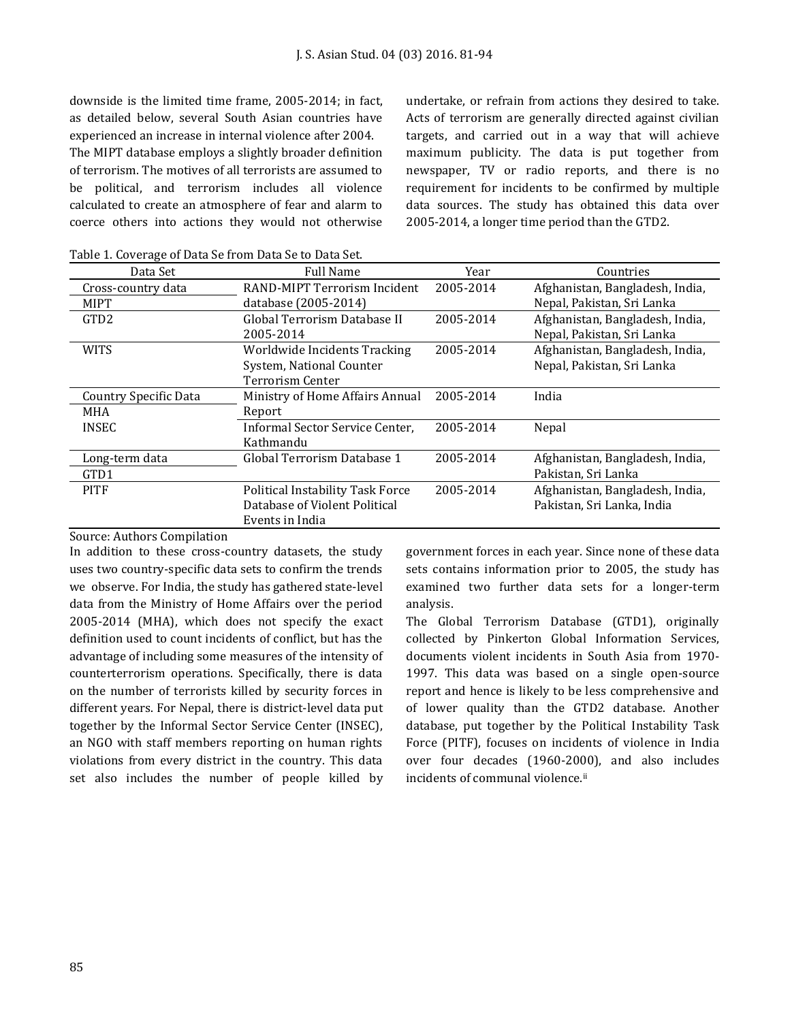downside is the limited time frame, 2005-2014; in fact, as detailed below, several South Asian countries have experienced an increase in internal violence after 2004. The MIPT database employs a slightly broader definition of terrorism. The motives of all terrorists are assumed to be political, and terrorism includes all violence calculated to create an atmosphere of fear and alarm to coerce others into actions they would not otherwise undertake, or refrain from actions they desired to take. Acts of terrorism are generally directed against civilian targets, and carried out in a way that will achieve maximum publicity. The data is put together from newspaper, TV or radio reports, and there is no requirement for incidents to be confirmed by multiple data sources. The study has obtained this data over 2005-2014, a longer time period than the GTD2.

| Data Set                     | Full Name                        | Year      | Countries                       |
|------------------------------|----------------------------------|-----------|---------------------------------|
| Cross-country data           | RAND-MIPT Terrorism Incident     | 2005-2014 | Afghanistan, Bangladesh, India, |
| <b>MIPT</b>                  | database (2005-2014)             |           | Nepal, Pakistan, Sri Lanka      |
| GTD <sub>2</sub>             | Global Terrorism Database II     | 2005-2014 | Afghanistan, Bangladesh, India, |
|                              | 2005-2014                        |           | Nepal, Pakistan, Sri Lanka      |
| <b>WITS</b>                  | Worldwide Incidents Tracking     | 2005-2014 | Afghanistan, Bangladesh, India, |
|                              | System, National Counter         |           | Nepal, Pakistan, Sri Lanka      |
|                              | Terrorism Center                 |           |                                 |
| <b>Country Specific Data</b> | Ministry of Home Affairs Annual  | 2005-2014 | India                           |
| MHA                          | Report                           |           |                                 |
| <b>INSEC</b>                 | Informal Sector Service Center.  | 2005-2014 | Nepal                           |
|                              | Kathmandu                        |           |                                 |
| Long-term data               | Global Terrorism Database 1      | 2005-2014 | Afghanistan, Bangladesh, India, |
| GTD1                         |                                  |           | Pakistan, Sri Lanka             |
| <b>PITF</b>                  | Political Instability Task Force | 2005-2014 | Afghanistan, Bangladesh, India, |
|                              | Database of Violent Political    |           | Pakistan, Sri Lanka, India      |
|                              | Events in India                  |           |                                 |

Source: Authors Compilation

In addition to these cross-country datasets, the study uses two country-specific data sets to confirm the trends we observe. For India, the study has gathered state-level data from the Ministry of Home Affairs over the period 2005-2014 (MHA), which does not specify the exact definition used to count incidents of conflict, but has the advantage of including some measures of the intensity of counterterrorism operations. Specifically, there is data on the number of terrorists killed by security forces in different years. For Nepal, there is district-level data put together by the Informal Sector Service Center (INSEC), an NGO with staff members reporting on human rights violations from every district in the country. This data set also includes the number of people killed by government forces in each year. Since none of these data sets contains information prior to 2005, the study has examined two further data sets for a longer-term analysis.

The Global Terrorism Database (GTD1), originally collected by Pinkerton Global Information Services, documents violent incidents in South Asia from 1970- 1997. This data was based on a single open-source report and hence is likely to be less comprehensive and of lower quality than the GTD2 database. Another database, put together by the Political Instability Task Force (PITF), focuses on incidents of violence in India over four decades (1960-2000), and also includes incidents of communal violence.<sup>ii</sup>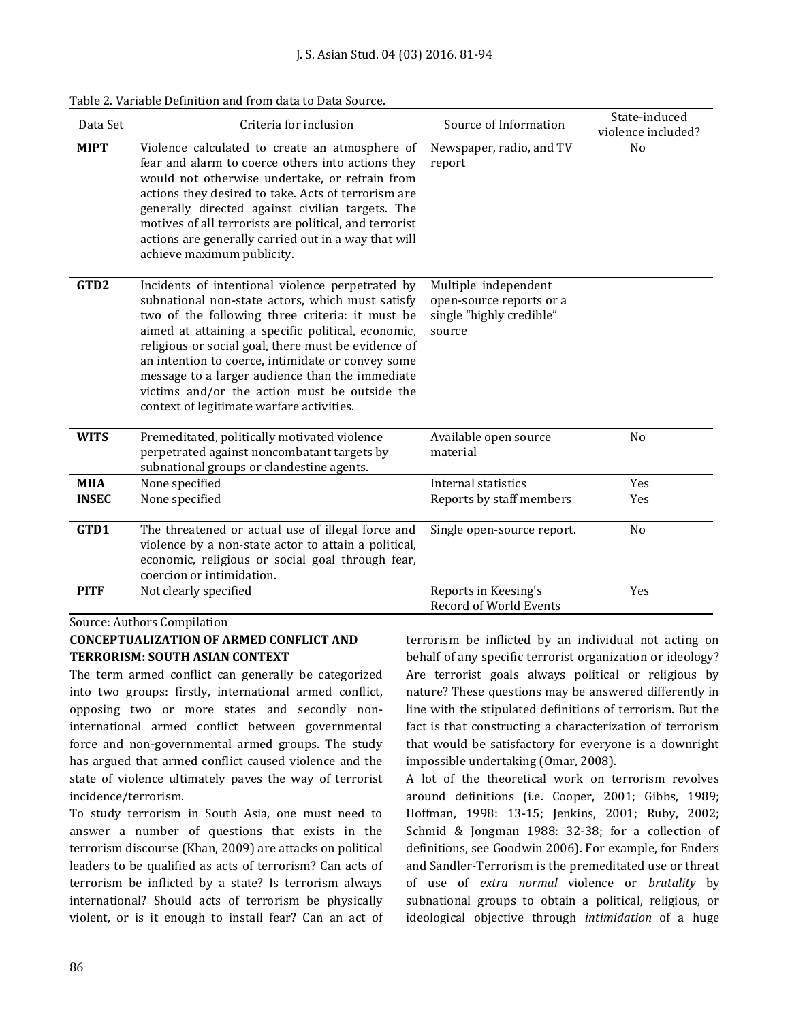| Data Set         | Criteria for inclusion                                                                                                                                                                                                                                                                                                                                                                                                                                                     | Source of Information                                                                  | State-induced<br>violence included? |
|------------------|----------------------------------------------------------------------------------------------------------------------------------------------------------------------------------------------------------------------------------------------------------------------------------------------------------------------------------------------------------------------------------------------------------------------------------------------------------------------------|----------------------------------------------------------------------------------------|-------------------------------------|
| <b>MIPT</b>      | Violence calculated to create an atmosphere of<br>fear and alarm to coerce others into actions they<br>would not otherwise undertake, or refrain from<br>actions they desired to take. Acts of terrorism are<br>generally directed against civilian targets. The<br>motives of all terrorists are political, and terrorist<br>actions are generally carried out in a way that will<br>achieve maximum publicity.                                                           | Newspaper, radio, and TV<br>report                                                     | N <sub>0</sub>                      |
| GTD <sub>2</sub> | Incidents of intentional violence perpetrated by<br>subnational non-state actors, which must satisfy<br>two of the following three criteria: it must be<br>aimed at attaining a specific political, economic,<br>religious or social goal, there must be evidence of<br>an intention to coerce, intimidate or convey some<br>message to a larger audience than the immediate<br>victims and/or the action must be outside the<br>context of legitimate warfare activities. | Multiple independent<br>open-source reports or a<br>single "highly credible"<br>source |                                     |
| <b>WITS</b>      | Premeditated, politically motivated violence<br>perpetrated against noncombatant targets by<br>subnational groups or clandestine agents.                                                                                                                                                                                                                                                                                                                                   | Available open source<br>material                                                      | No                                  |
| <b>MHA</b>       | None specified                                                                                                                                                                                                                                                                                                                                                                                                                                                             | Internal statistics                                                                    | Yes                                 |
| <b>INSEC</b>     | None specified                                                                                                                                                                                                                                                                                                                                                                                                                                                             | Reports by staff members                                                               | Yes                                 |
| GTD1             | The threatened or actual use of illegal force and<br>violence by a non-state actor to attain a political,<br>economic, religious or social goal through fear,<br>coercion or intimidation.                                                                                                                                                                                                                                                                                 | Single open-source report.                                                             | No                                  |
| <b>PITF</b>      | Not clearly specified                                                                                                                                                                                                                                                                                                                                                                                                                                                      | Reports in Keesing's<br>Record of World Events                                         | Yes                                 |

Table 2. Variable Definition and from data to Data Source.

Source: Authors Compilation

#### **CONCEPTUALIZATION OF ARMED CONFLICT AND TERRORISM: SOUTH ASIAN CONTEXT**

The term armed conflict can generally be categorized into two groups: firstly, international armed conflict, opposing two or more states and secondly noninternational armed conflict between governmental force and non-governmental armed groups. The study has argued that armed conflict caused violence and the state of violence ultimately paves the way of terrorist incidence/terrorism.

To study terrorism in South Asia, one must need to answer a number of questions that exists in the terrorism discourse (Khan, 2009) are attacks on political leaders to be qualified as acts of terrorism? Can acts of terrorism be inflicted by a state? Is terrorism always international? Should acts of terrorism be physically violent, or is it enough to install fear? Can an act of terrorism be inflicted by an individual not acting on behalf of any specific terrorist organization or ideology? Are terrorist goals always political or religious by nature? These questions may be answered differently in line with the stipulated definitions of terrorism. But the fact is that constructing a characterization of terrorism that would be satisfactory for everyone is a downright impossible undertaking (Omar, 2008).

A lot of the theoretical work on terrorism revolves around definitions (i.e. Cooper, 2001; Gibbs, 1989; Hoffman, 1998: 13-15; Jenkins, 2001; Ruby, 2002; Schmid & Jongman 1988: 32-38; for a collection of definitions, see Goodwin 2006). For example, for Enders and Sandler-Terrorism is the premeditated use or threat of use of *extra normal* violence or *brutality* by subnational groups to obtain a political, religious, or ideological objective through *intimidation* of a huge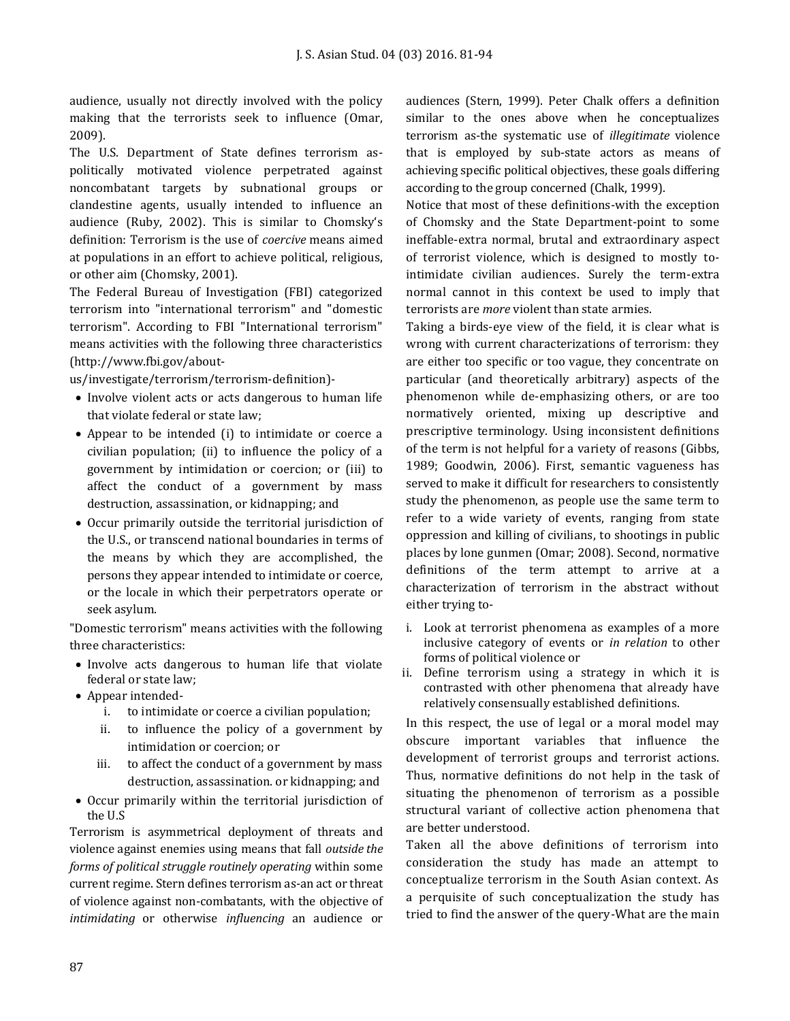audience, usually not directly involved with the policy making that the terrorists seek to influence (Omar, 2009).

The U.S. Department of State defines terrorism aspolitically motivated violence perpetrated against noncombatant targets by subnational groups or clandestine agents, usually intended to influence an audience (Ruby, 2002). This is similar to Chomsky's definition: Terrorism is the use of *coercive* means aimed at populations in an effort to achieve political, religious, or other aim (Chomsky, 2001).

The Federal Bureau of Investigation (FBI) categorized terrorism into "international terrorism" and "domestic terrorism". According to FBI "International terrorism" means activities with the following three characteristics [\(http://www.fbi.gov/about-](http://www.fbi.gov/about-us/investigate/terrorism/terrorism-definition)-)

[us/investigate/terrorism/terrorism-definition\)-](http://www.fbi.gov/about-us/investigate/terrorism/terrorism-definition)-)

- Involve violent acts or acts dangerous to human life that violate federal or state law;
- Appear to be intended (i) to intimidate or coerce a civilian population; (ii) to influence the policy of a government by intimidation or coercion; or (iii) to affect the conduct of a government by mass destruction, assassination, or kidnapping; and
- Occur primarily outside the territorial jurisdiction of the U.S., or transcend national boundaries in terms of the means by which they are accomplished, the persons they appear intended to intimidate or coerce, or the locale in which their perpetrators operate or seek asylum.

"Domestic terrorism" means activities with the following three characteristics:

- Involve acts dangerous to human life that violate federal or state law;
- Appear intended
	- i. to intimidate or coerce a civilian population;
	- ii. to influence the policy of a government by intimidation or coercion; or
	- iii. to affect the conduct of a government by mass destruction, assassination. or kidnapping; and
- Occur primarily within the territorial jurisdiction of the U.S

Terrorism is asymmetrical deployment of threats and violence against enemies using means that fall *outside the forms of political struggle routinely operating* within some current regime. Stern defines terrorism as-an act or threat of violence against non-combatants, with the objective of *intimidating* or otherwise *influencing* an audience or

audiences (Stern, 1999). Peter Chalk offers a definition similar to the ones above when he conceptualizes terrorism as-the systematic use of *illegitimate* violence that is employed by sub-state actors as means of achieving specific political objectives, these goals differing according to the group concerned (Chalk, 1999).

Notice that most of these definitions-with the exception of Chomsky and the State Department-point to some ineffable-extra normal, brutal and extraordinary aspect of terrorist violence, which is designed to mostly tointimidate civilian audiences. Surely the term-extra normal cannot in this context be used to imply that terrorists are *more* violent than state armies.

Taking a birds-eye view of the field, it is clear what is wrong with current characterizations of terrorism: they are either too specific or too vague, they concentrate on particular (and theoretically arbitrary) aspects of the phenomenon while de-emphasizing others, or are too normatively oriented, mixing up descriptive and prescriptive terminology. Using inconsistent definitions of the term is not helpful for a variety of reasons (Gibbs, 1989; Goodwin, 2006). First, semantic vagueness has served to make it difficult for researchers to consistently study the phenomenon, as people use the same term to refer to a wide variety of events, ranging from state oppression and killing of civilians, to shootings in public places by lone gunmen (Omar; 2008). Second, normative definitions of the term attempt to arrive at a characterization of terrorism in the abstract without either trying to-

- i. Look at terrorist phenomena as examples of a more inclusive category of events or *in relation* to other forms of political violence or
- ii. Define terrorism using a strategy in which it is contrasted with other phenomena that already have relatively consensually established definitions.

In this respect, the use of legal or a moral model may obscure important variables that influence the development of terrorist groups and terrorist actions. Thus, normative definitions do not help in the task of situating the phenomenon of terrorism as a possible structural variant of collective action phenomena that are better understood.

Taken all the above definitions of terrorism into consideration the study has made an attempt to conceptualize terrorism in the South Asian context. As a perquisite of such conceptualization the study has tried to find the answer of the query-What are the main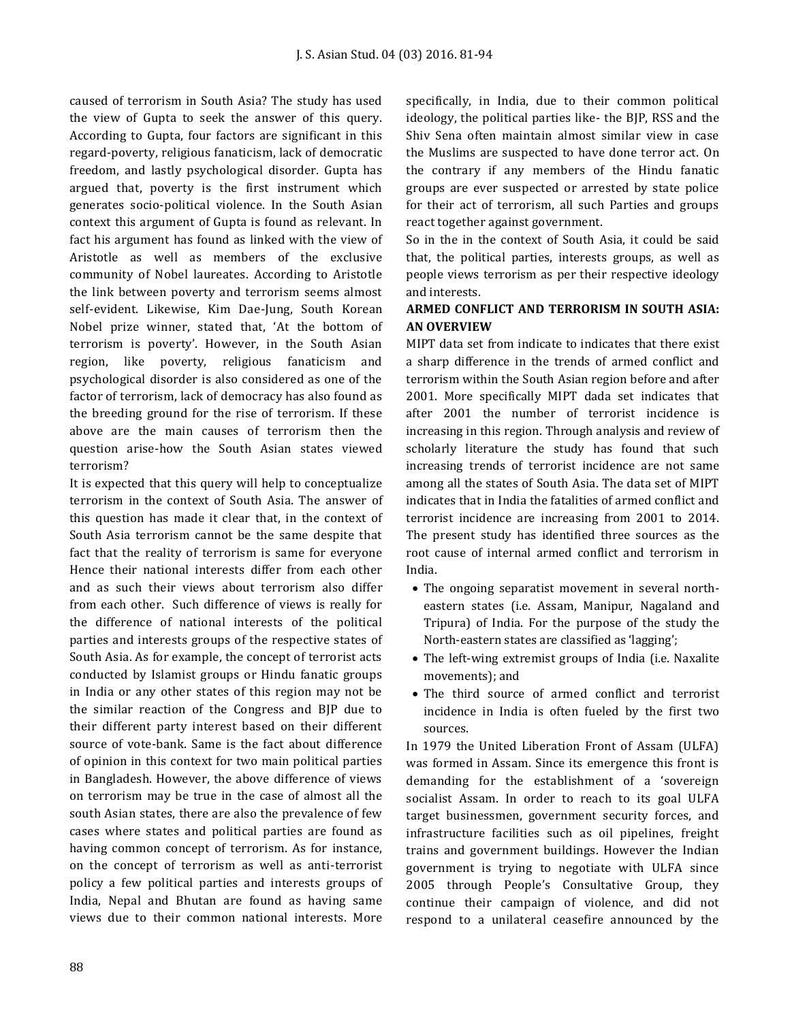caused of terrorism in South Asia? The study has used the view of Gupta to seek the answer of this query. According to Gupta, four factors are significant in this regard-poverty, religious fanaticism, lack of democratic freedom, and lastly psychological disorder. Gupta has argued that, poverty is the first instrument which generates socio-political violence. In the South Asian context this argument of Gupta is found as relevant. In fact his argument has found as linked with the view of Aristotle as well as members of the exclusive community of Nobel laureates. According to Aristotle the link between poverty and terrorism seems almost self-evident. Likewise, Kim Dae-Jung, South Korean Nobel prize winner, stated that, 'At the bottom of terrorism is poverty'. However, in the South Asian region, like poverty, religious fanaticism and psychological disorder is also considered as one of the factor of terrorism, lack of democracy has also found as the breeding ground for the rise of terrorism. If these above are the main causes of terrorism then the question arise-how the South Asian states viewed terrorism?

It is expected that this query will help to conceptualize terrorism in the context of South Asia. The answer of this question has made it clear that, in the context of South Asia terrorism cannot be the same despite that fact that the reality of terrorism is same for everyone Hence their national interests differ from each other and as such their views about terrorism also differ from each other. Such difference of views is really for the difference of national interests of the political parties and interests groups of the respective states of South Asia. As for example, the concept of terrorist acts conducted by Islamist groups or Hindu fanatic groups in India or any other states of this region may not be the similar reaction of the Congress and BJP due to their different party interest based on their different source of vote-bank. Same is the fact about difference of opinion in this context for two main political parties in Bangladesh. However, the above difference of views on terrorism may be true in the case of almost all the south Asian states, there are also the prevalence of few cases where states and political parties are found as having common concept of terrorism. As for instance, on the concept of terrorism as well as anti-terrorist policy a few political parties and interests groups of India, Nepal and Bhutan are found as having same views due to their common national interests. More specifically, in India, due to their common political ideology, the political parties like- the BJP, RSS and the Shiv Sena often maintain almost similar view in case the Muslims are suspected to have done terror act. On the contrary if any members of the Hindu fanatic groups are ever suspected or arrested by state police for their act of terrorism, all such Parties and groups react together against government.

So in the in the context of South Asia, it could be said that, the political parties, interests groups, as well as people views terrorism as per their respective ideology and interests.

# **ARMED CONFLICT AND TERRORISM IN SOUTH ASIA: AN OVERVIEW**

MIPT data set from indicate to indicates that there exist a sharp difference in the trends of armed conflict and terrorism within the South Asian region before and after 2001. More specifically MIPT dada set indicates that after 2001 the number of terrorist incidence is increasing in this region. Through analysis and review of scholarly literature the study has found that such increasing trends of terrorist incidence are not same among all the states of South Asia. The data set of MIPT indicates that in India the fatalities of armed conflict and terrorist incidence are increasing from 2001 to 2014. The present study has identified three sources as the root cause of internal armed conflict and terrorism in India.

- The ongoing separatist movement in several northeastern states (i.e. Assam, Manipur, Nagaland and Tripura) of India. For the purpose of the study the North-eastern states are classified as 'lagging';
- The left-wing extremist groups of India (i.e. Naxalite movements); and
- The third source of armed conflict and terrorist incidence in India is often fueled by the first two sources.

In 1979 the United Liberation Front of Assam (ULFA) was formed in Assam. Since its emergence this front is demanding for the establishment of a 'sovereign socialist Assam. In order to reach to its goal ULFA target businessmen, government security forces, and infrastructure facilities such as oil pipelines, freight trains and government buildings. However the Indian government is trying to negotiate with ULFA since 2005 through People's Consultative Group, they continue their campaign of violence, and did not respond to a unilateral ceasefire announced by the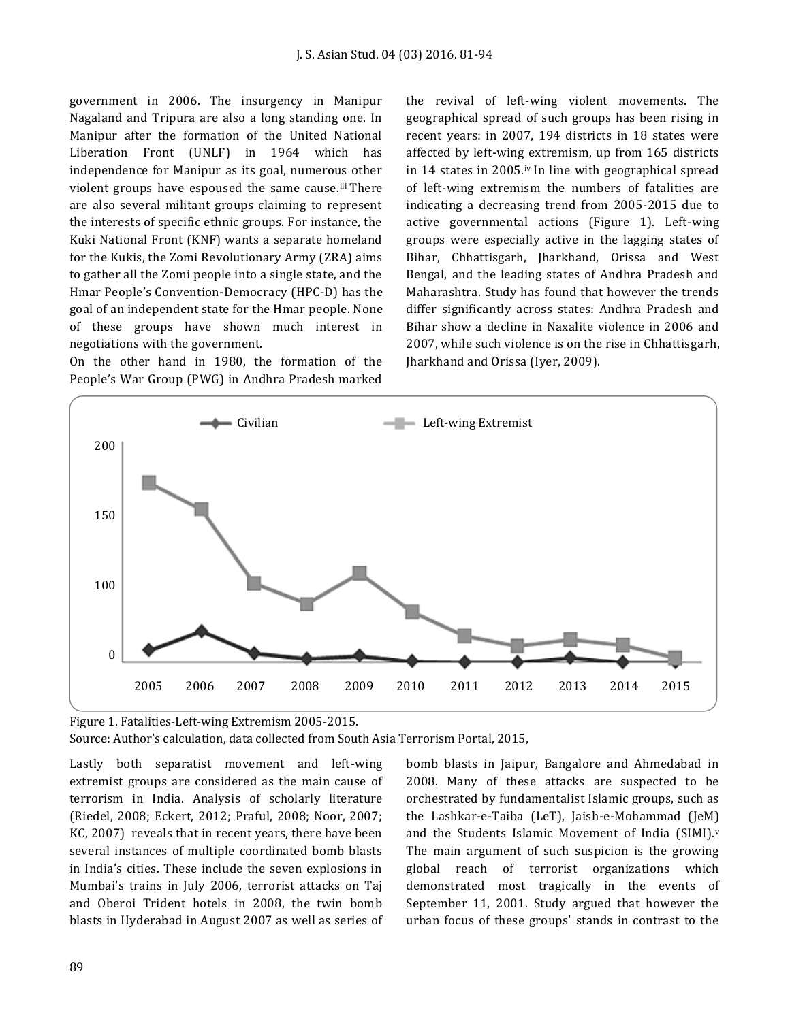government in 2006. The insurgency in Manipur Nagaland and Tripura are also a long standing one. In Manipur after the formation of the United National Liberation Front (UNLF) in 1964 which has independence for Manipur as its goal, numerous other violent groups have espoused the same cause.iii There are also several militant groups claiming to represent the interests of specific ethnic groups. For instance, the Kuki National Front (KNF) wants a separate homeland for the Kukis, the Zomi Revolutionary Army (ZRA) aims to gather all the Zomi people into a single state, and the Hmar People's Convention-Democracy (HPC-D) has the goal of an independent state for the Hmar people. None of these groups have shown much interest in negotiations with the government.

On the other hand in 1980, the formation of the People's War Group (PWG) in Andhra Pradesh marked the revival of left-wing violent movements. The geographical spread of such groups has been rising in recent years: in 2007, 194 districts in 18 states were affected by left-wing extremism, up from 165 districts in 14 states in 2005.iv In line with geographical spread of left-wing extremism the numbers of fatalities are indicating a decreasing trend from 2005-2015 due to active governmental actions (Figure 1). Left-wing groups were especially active in the lagging states of Bihar, Chhattisgarh, Jharkhand, Orissa and West Bengal, and the leading states of Andhra Pradesh and Maharashtra. Study has found that however the trends differ significantly across states: Andhra Pradesh and Bihar show a decline in Naxalite violence in 2006 and 2007, while such violence is on the rise in Chhattisgarh, Jharkhand and Orissa (Iyer, 2009).



Figure 1. Fatalities-Left-wing Extremism 2005-2015.

Source: Author's calculation, data collected from South Asia Terrorism Portal, 2015,

Lastly both separatist movement and left-wing extremist groups are considered as the main cause of terrorism in India. Analysis of scholarly literature (Riedel, 2008; Eckert, 2012; Praful, 2008; Noor, 2007; KC, 2007) reveals that in recent years, there have been several instances of multiple coordinated bomb blasts in India's cities. These include the seven explosions in Mumbai's trains in July 2006, terrorist attacks on Taj and Oberoi Trident hotels in 2008, the twin bomb blasts in Hyderabad in August 2007 as well as series of

bomb blasts in Jaipur, Bangalore and Ahmedabad in 2008. Many of these attacks are suspected to be orchestrated by fundamentalist Islamic groups, such as the Lashkar-e-Taiba (LeT), Jaish-e-Mohammad (JeM) and the Students Islamic Movement of India (SIMI).<sup>v</sup> The main argument of such suspicion is the growing global reach of terrorist organizations which demonstrated most tragically in the events of September 11, 2001. Study argued that however the urban focus of these groups' stands in contrast to the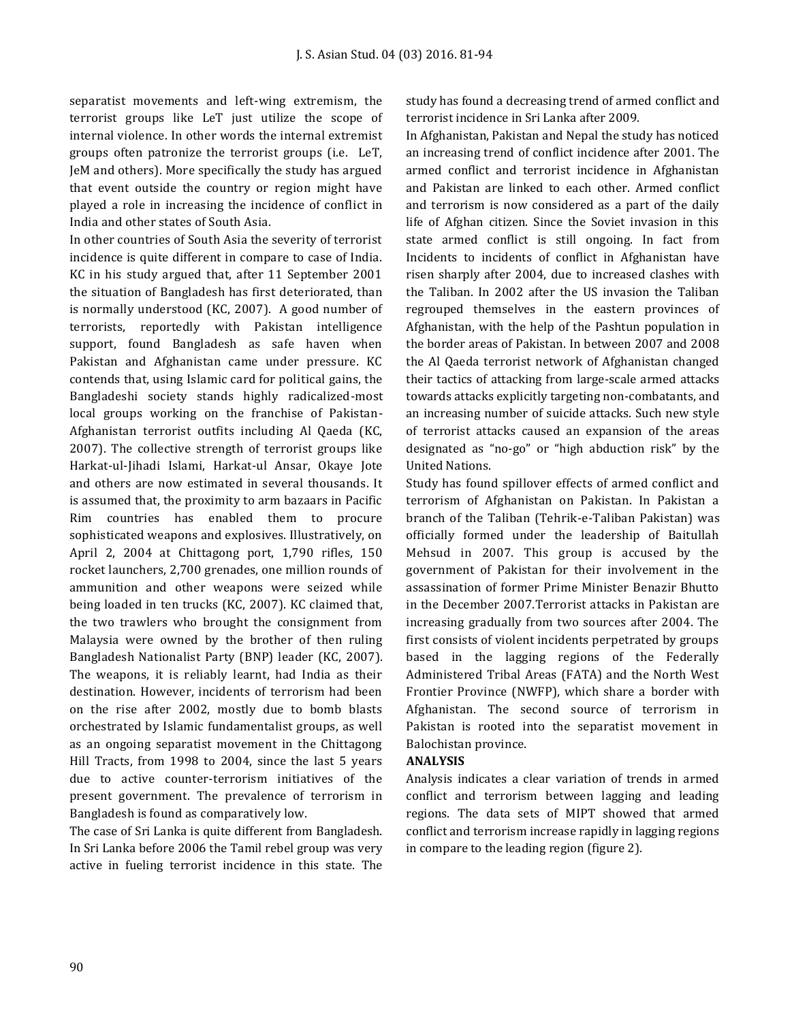separatist movements and left-wing extremism, the terrorist groups like LeT just utilize the scope of internal violence. In other words the internal extremist groups often patronize the terrorist groups (i.e. LeT, JeM and others). More specifically the study has argued that event outside the country or region might have played a role in increasing the incidence of conflict in India and other states of South Asia.

In other countries of South Asia the severity of terrorist incidence is quite different in compare to case of India. KC in his study argued that, after 11 September 2001 the situation of Bangladesh has first deteriorated, than is normally understood (KC, 2007). A good number of terrorists, reportedly with Pakistan intelligence support, found Bangladesh as safe haven when Pakistan and Afghanistan came under pressure. KC contends that, using Islamic card for political gains, the Bangladeshi society stands highly radicalized-most local groups working on the franchise of Pakistan-Afghanistan terrorist outfits including Al Qaeda (KC, 2007). The collective strength of terrorist groups like Harkat-ul-Jihadi Islami, Harkat-ul Ansar, Okaye Jote and others are now estimated in several thousands. It is assumed that, the proximity to arm bazaars in Pacific Rim countries has enabled them to procure sophisticated weapons and explosives. Illustratively, on April 2, 2004 at Chittagong port, 1,790 rifles, 150 rocket launchers, 2,700 grenades, one million rounds of ammunition and other weapons were seized while being loaded in ten trucks (KC, 2007). KC claimed that, the two trawlers who brought the consignment from Malaysia were owned by the brother of then ruling Bangladesh Nationalist Party (BNP) leader (KC, 2007). The weapons, it is reliably learnt, had India as their destination. However, incidents of terrorism had been on the rise after 2002, mostly due to bomb blasts orchestrated by Islamic fundamentalist groups, as well as an ongoing separatist movement in the Chittagong Hill Tracts, from 1998 to 2004, since the last 5 years due to active counter-terrorism initiatives of the present government. The prevalence of terrorism in Bangladesh is found as comparatively low.

The case of Sri Lanka is quite different from Bangladesh. In Sri Lanka before 2006 the Tamil rebel group was very active in fueling terrorist incidence in this state. The study has found a decreasing trend of armed conflict and terrorist incidence in Sri Lanka after 2009.

In Afghanistan, Pakistan and Nepal the study has noticed an increasing trend of conflict incidence after 2001. The armed conflict and terrorist incidence in Afghanistan and Pakistan are linked to each other. Armed conflict and terrorism is now considered as a part of the daily life of Afghan citizen. Since the Soviet invasion in this state armed conflict is still ongoing. In fact from Incidents to incidents of conflict in Afghanistan have risen sharply after 2004, due to increased clashes with the Taliban. In 2002 after the US invasion the Taliban regrouped themselves in the eastern provinces of Afghanistan, with the help of the Pashtun population in the border areas of Pakistan. In between 2007 and 2008 the Al Qaeda terrorist network of Afghanistan changed their tactics of attacking from large-scale armed attacks towards attacks explicitly targeting non-combatants, and an increasing number of suicide attacks. Such new style of terrorist attacks caused an expansion of the areas designated as "no-go" or "high abduction risk" by the United Nations.

Study has found spillover effects of armed conflict and terrorism of Afghanistan on Pakistan. In Pakistan a branch of the Taliban (Tehrik-e-Taliban Pakistan) was officially formed under the leadership of Baitullah Mehsud in 2007. This group is accused by the government of Pakistan for their involvement in the assassination of former Prime Minister Benazir Bhutto in the December 2007.Terrorist attacks in Pakistan are increasing gradually from two sources after 2004. The first consists of violent incidents perpetrated by groups based in the lagging regions of the Federally Administered Tribal Areas (FATA) and the North West Frontier Province (NWFP), which share a border with Afghanistan. The second source of terrorism in Pakistan is rooted into the separatist movement in Balochistan province.

#### **ANALYSIS**

Analysis indicates a clear variation of trends in armed conflict and terrorism between lagging and leading regions. The data sets of MIPT showed that armed conflict and terrorism increase rapidly in lagging regions in compare to the leading region (figure 2).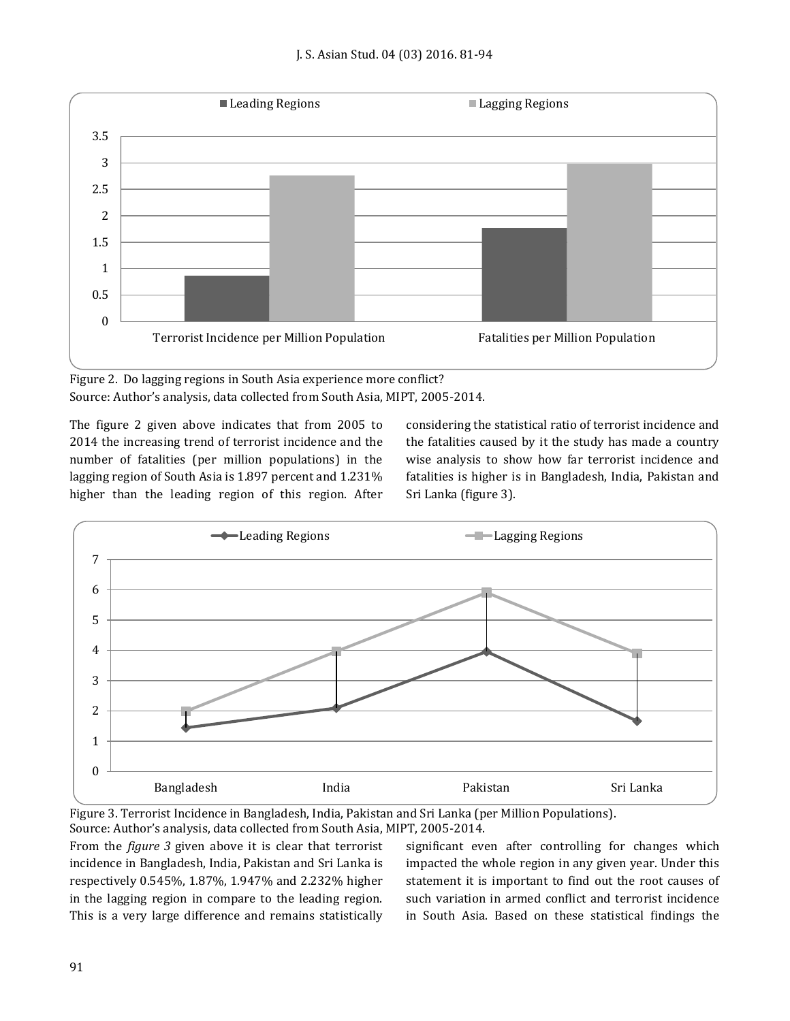

Figure 2. Do lagging regions in South Asia experience more conflict? Source: Author's analysis, data collected from South Asia, MIPT, 2005-2014.

The figure 2 given above indicates that from 2005 to 2014 the increasing trend of terrorist incidence and the number of fatalities (per million populations) in the lagging region of South Asia is 1.897 percent and 1.231% higher than the leading region of this region. After considering the statistical ratio of terrorist incidence and the fatalities caused by it the study has made a country wise analysis to show how far terrorist incidence and fatalities is higher is in Bangladesh, India, Pakistan and Sri Lanka (figure 3).



Figure 3. Terrorist Incidence in Bangladesh, India, Pakistan and Sri Lanka (per Million Populations). Source: Author's analysis, data collected from South Asia, MIPT, 2005-2014.

From the *figure 3* given above it is clear that terrorist incidence in Bangladesh, India, Pakistan and Sri Lanka is respectively 0.545%, 1.87%, 1.947% and 2.232% higher in the lagging region in compare to the leading region. This is a very large difference and remains statistically

significant even after controlling for changes which impacted the whole region in any given year. Under this statement it is important to find out the root causes of such variation in armed conflict and terrorist incidence in South Asia. Based on these statistical findings the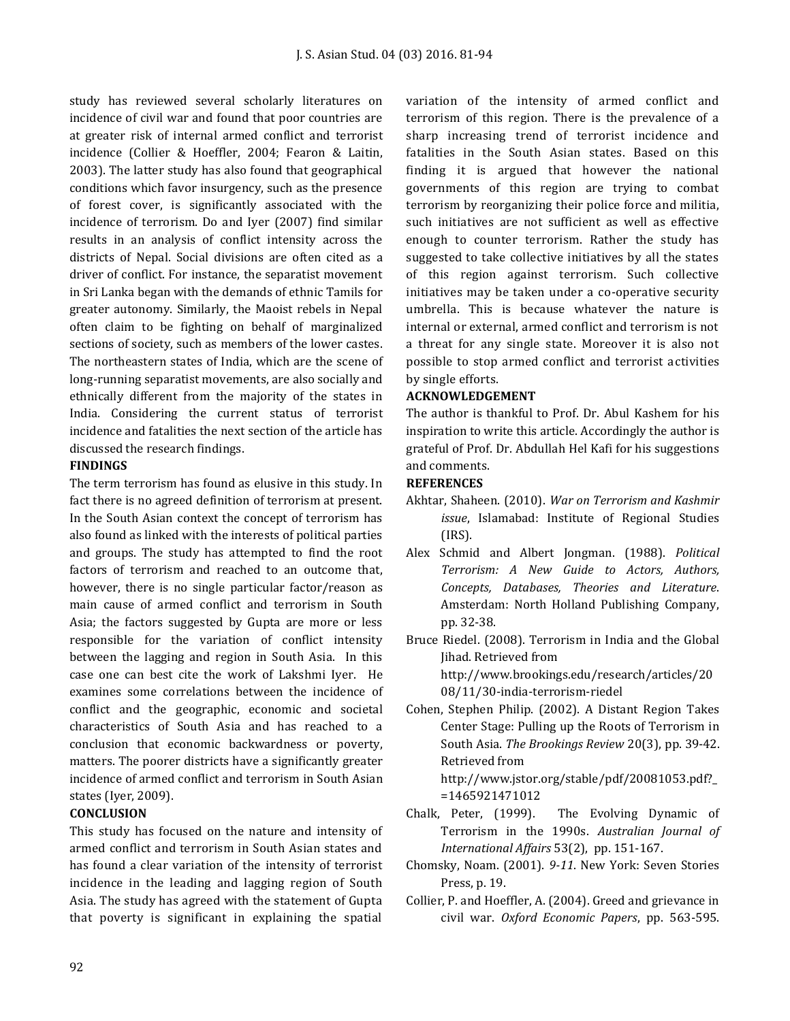study has reviewed several scholarly literatures on incidence of civil war and found that poor countries are at greater risk of internal armed conflict and terrorist incidence (Collier & Hoeffler, 2004; Fearon & Laitin, 2003). The latter study has also found that geographical conditions which favor insurgency, such as the presence of forest cover, is significantly associated with the incidence of terrorism. Do and Iyer (2007) find similar results in an analysis of conflict intensity across the districts of Nepal. Social divisions are often cited as a driver of conflict. For instance, the separatist movement in Sri Lanka began with the demands of ethnic Tamils for greater autonomy. Similarly, the Maoist rebels in Nepal often claim to be fighting on behalf of marginalized sections of society, such as members of the lower castes. The northeastern states of India, which are the scene of long-running separatist movements, are also socially and ethnically different from the majority of the states in India. Considering the current status of terrorist incidence and fatalities the next section of the article has discussed the research findings.

#### **FINDINGS**

The term terrorism has found as elusive in this study. In fact there is no agreed definition of terrorism at present. In the South Asian context the concept of terrorism has also found as linked with the interests of political parties and groups. The study has attempted to find the root factors of terrorism and reached to an outcome that, however, there is no single particular factor/reason as main cause of armed conflict and terrorism in South Asia; the factors suggested by Gupta are more or less responsible for the variation of conflict intensity between the lagging and region in South Asia. In this case one can best cite the work of Lakshmi Iyer. He examines some correlations between the incidence of conflict and the geographic, economic and societal characteristics of South Asia and has reached to a conclusion that economic backwardness or poverty, matters. The poorer districts have a significantly greater incidence of armed conflict and terrorism in South Asian states (Iyer, 2009).

# **CONCLUSION**

This study has focused on the nature and intensity of armed conflict and terrorism in South Asian states and has found a clear variation of the intensity of terrorist incidence in the leading and lagging region of South Asia. The study has agreed with the statement of Gupta that poverty is significant in explaining the spatial

variation of the intensity of armed conflict and terrorism of this region. There is the prevalence of a sharp increasing trend of terrorist incidence and fatalities in the South Asian states. Based on this finding it is argued that however the national governments of this region are trying to combat terrorism by reorganizing their police force and militia, such initiatives are not sufficient as well as effective enough to counter terrorism. Rather the study has suggested to take collective initiatives by all the states of this region against terrorism. Such collective initiatives may be taken under a co-operative security umbrella. This is because whatever the nature is internal or external, armed conflict and terrorism is not a threat for any single state. Moreover it is also not possible to stop armed conflict and terrorist activities by single efforts.

#### **ACKNOWLEDGEMENT**

The author is thankful to Prof. Dr. Abul Kashem for his inspiration to write this article. Accordingly the author is grateful of Prof. Dr. Abdullah Hel Kafi for his suggestions and comments.

#### **REFERENCES**

- Akhtar, Shaheen. (2010). *War on Terrorism and Kashmir issue*, Islamabad: Institute of Regional Studies (IRS).
- Alex Schmid and Albert Jongman. (1988). *Political Terrorism: A New Guide to Actors, Authors, Concepts, Databases, Theories and Literature*. Amsterdam: North Holland Publishing Company, pp. 32-38.

Bruce Riedel. (2008). Terrorism in India and the Global Jihad. Retrieved from http://www.brookings.edu/research/articles/20 08/11/30-india-terrorism-riedel

Cohen, Stephen Philip. (2002). A Distant Region Takes Center Stage: Pulling up the Roots of Terrorism in South Asia. *The Brookings Review* 20(3), pp. 39-42. Retrieved from http://www.jstor.org/stable/pdf/20081053.pdf?\_

=1465921471012

- Chalk, Peter, (1999). The Evolving Dynamic of Terrorism in the 1990s. *Australian Journal of International Affairs* 53(2), pp. 151-167.
- Chomsky, Noam. (2001). *9-11*. New York: Seven Stories Press, p. 19.
- Collier, P. and Hoeffler, A. (2004). Greed and grievance in civil war. *Oxford Economic Papers*, pp. 563-595.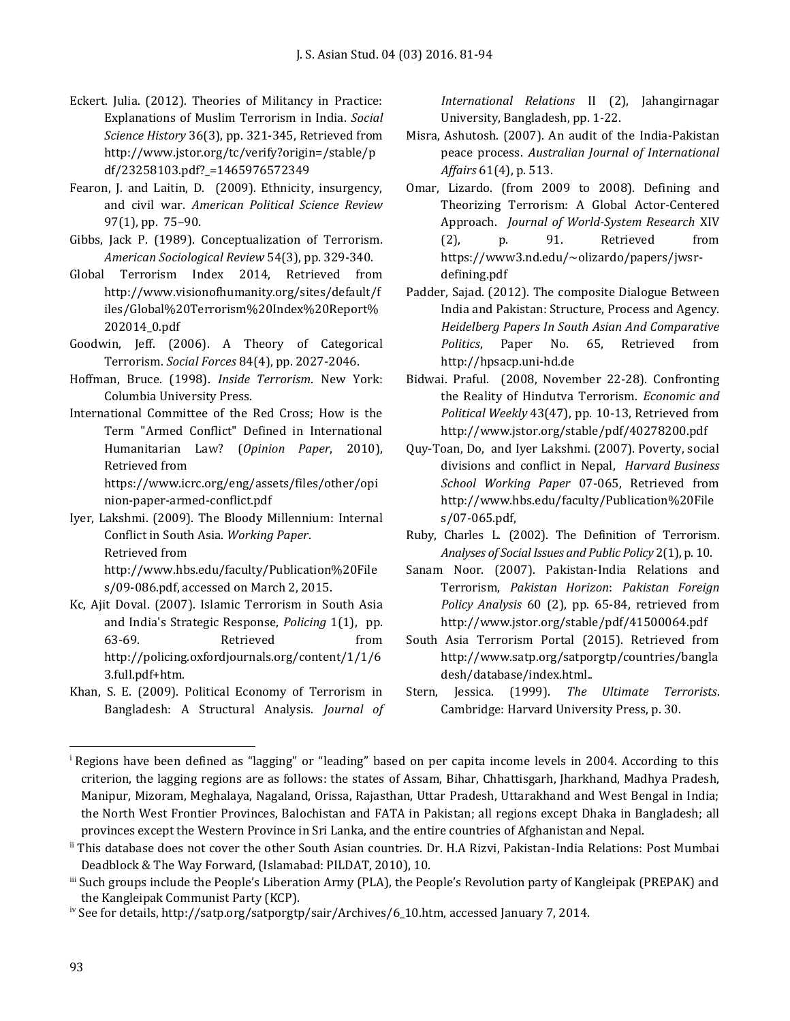- Eckert. Julia. (2012). Theories of Militancy in Practice: Explanations of Muslim Terrorism in India. *Social Science History* 36(3), pp. 321-345, Retrieved from http://www.jstor.org/tc/verify?origin=/stable/p df/23258103.pdf?\_=1465976572349
- Fearon, J. and Laitin, D. (2009). Ethnicity, insurgency, and civil war. *American Political Science Review* 97(1), pp. 75–90.
- Gibbs, Jack P. (1989). Conceptualization of Terrorism. *American Sociological Review* 54(3), pp. 329-340.
- Global Terrorism Index 2014, Retrieved from http://www.visionofhumanity.org/sites/default/f iles/Global%20Terrorism%20Index%20Report% 202014\_0.pdf
- Goodwin, Jeff. (2006). A Theory of Categorical Terrorism. *Social Forces* 84(4), pp. 2027-2046.
- Hoffman, Bruce. (1998). *Inside Terrorism*. New York: Columbia University Press.
- International Committee of the Red Cross; How is the Term "Armed Conflict" Defined in International Humanitarian Law? (*Opinion Paper*, 2010), Retrieved from

https://www.icrc.org/eng/assets/files/other/opi nion-paper-armed-conflict.pdf

- Iyer, Lakshmi. (2009). The Bloody Millennium: Internal Conflict in South Asia. *Working Paper*. Retrieved from http://www.hbs.edu/faculty/Publication%20File s/09-086.pdf, accessed on March 2, 2015.
- Kc, Ajit Doval. (2007). Islamic Terrorism in South Asia and India's Strategic Response, *Policing* 1(1), pp. 63-69. Retrieved from http://policing.oxfordjournals.org/content/1/1/6 3.full.pdf+htm.
- Khan, S. E. (2009). Political Economy of Terrorism in Bangladesh: A Structural Analysis. *Journal of*

*International Relations* II (2), Jahangirnagar University, Bangladesh, pp. 1-22.

- Misra, Ashutosh. (2007). An audit of the India-Pakistan peace process. *Australian Journal of International Affairs* 61(4), p. 513.
- Omar, Lizardo. (from 2009 to 2008). Defining and Theorizing Terrorism: A Global Actor-Centered Approach. *Journal of World-System Research* XIV (2), p. 91. Retrieved from https://www3.nd.edu/~olizardo/papers/jwsrdefining.pdf
- Padder, Sajad. (2012). The composite Dialogue Between India and Pakistan: Structure, Process and Agency. *Heidelberg Papers In South Asian And Comparative Politics*, Paper No. 65, Retrieved from http://hpsacp.uni-hd.de
- Bidwai. Praful. (2008, November 22-28). Confronting the Reality of Hindutva Terrorism. *Economic and Political Weekly* 43(47), pp. 10-13, Retrieved from http://www.jstor.org/stable/pdf/40278200.pdf
- Quy-Toan, Do, and Iyer Lakshmi. (2007). Poverty, social divisions and conflict in Nepal, *Harvard Business School Working Paper* 07-065, Retrieved from http://www.hbs.edu/faculty/Publication%20File s/07-065.pdf,
- Ruby, Charles L. (2002). The Definition of Terrorism. *Analyses of Social Issues and Public Policy* 2(1), p. 10.
- Sanam Noor. (2007). Pakistan-India Relations and Terrorism, *Pakistan Horizon*: *Pakistan Foreign Policy Analysis* 60 (2), pp. 65-84, retrieved from http://www.jstor.org/stable/pdf/41500064.pdf
- South Asia Terrorism Portal (2015). Retrieved from http://www.satp.org/satporgtp/countries/bangla desh/database/index.html..
- Stern, Jessica. (1999). *The Ultimate Terrorists*. Cambridge: Harvard University Press, p. 30.

l <sup>i</sup> Regions have been defined as "lagging" or "leading" based on per capita income levels in 2004. According to this criterion, the lagging regions are as follows: the states of Assam, Bihar, Chhattisgarh, Jharkhand, Madhya Pradesh, Manipur, Mizoram, Meghalaya, Nagaland, Orissa, Rajasthan, Uttar Pradesh, Uttarakhand and West Bengal in India; the North West Frontier Provinces, Balochistan and FATA in Pakistan; all regions except Dhaka in Bangladesh; all provinces except the Western Province in Sri Lanka, and the entire countries of Afghanistan and Nepal.

ii This database does not cover the other South Asian countries. Dr. H.A Rizvi, Pakistan-India Relations: Post Mumbai Deadblock & The Way Forward, (Islamabad: PILDAT, 2010), 10.

iii Such groups include the People's Liberation Army (PLA), the People's Revolution party of Kangleipak (PREPAK) and the Kangleipak Communist Party (KCP).

iv See for details, http://satp.org/satporgtp/sair/Archives/6\_10.htm, accessed January 7, 2014.